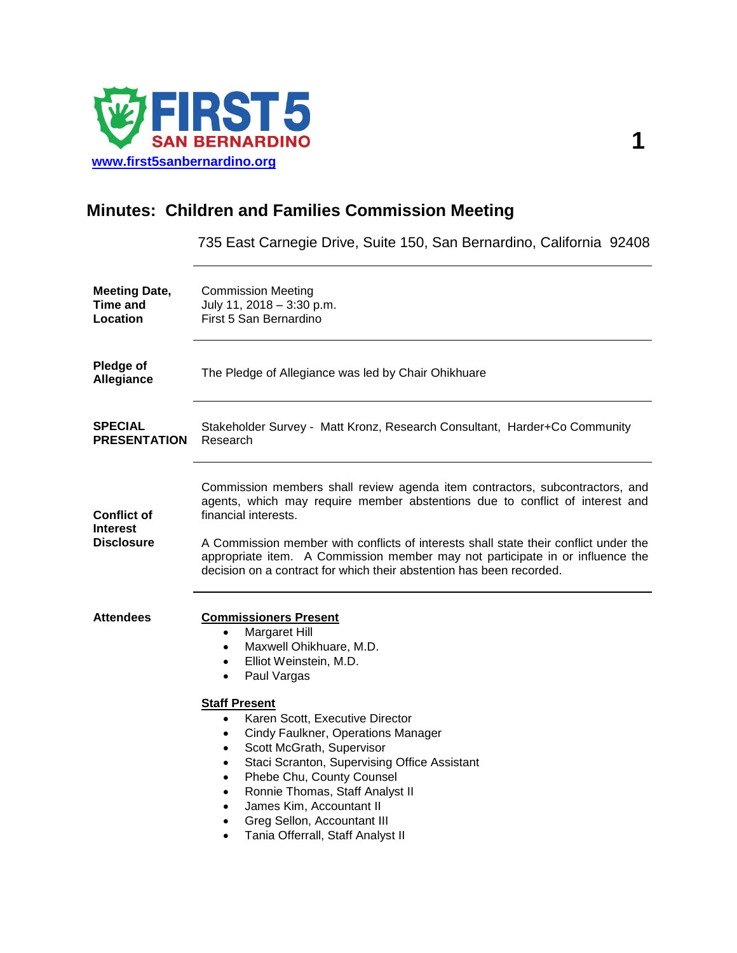

## **Minutes: Children and Families Commission Meeting**

735 East Carnegie Drive, Suite 150, San Bernardino, California 92408

| <b>Meeting Date,</b><br>Time and<br>Location               | <b>Commission Meeting</b><br>July 11, 2018 - 3:30 p.m.<br>First 5 San Bernardino                                                                                                                                                                                                                                                                                                                                                                                                                                                                                                                               |
|------------------------------------------------------------|----------------------------------------------------------------------------------------------------------------------------------------------------------------------------------------------------------------------------------------------------------------------------------------------------------------------------------------------------------------------------------------------------------------------------------------------------------------------------------------------------------------------------------------------------------------------------------------------------------------|
| Pledge of<br>Allegiance                                    | The Pledge of Allegiance was led by Chair Ohikhuare                                                                                                                                                                                                                                                                                                                                                                                                                                                                                                                                                            |
| <b>SPECIAL</b><br><b>PRESENTATION</b>                      | Stakeholder Survey - Matt Kronz, Research Consultant, Harder+Co Community<br>Research                                                                                                                                                                                                                                                                                                                                                                                                                                                                                                                          |
| <b>Conflict of</b><br><b>Interest</b><br><b>Disclosure</b> | Commission members shall review agenda item contractors, subcontractors, and<br>agents, which may require member abstentions due to conflict of interest and<br>financial interests.<br>A Commission member with conflicts of interests shall state their conflict under the<br>appropriate item. A Commission member may not participate in or influence the<br>decision on a contract for which their abstention has been recorded.                                                                                                                                                                          |
| <b>Attendees</b>                                           | <b>Commissioners Present</b><br>Margaret Hill<br>$\bullet$<br>Maxwell Ohikhuare, M.D.<br>$\bullet$<br>Elliot Weinstein, M.D.<br>$\bullet$<br>Paul Vargas<br>$\bullet$<br><b>Staff Present</b><br>Karen Scott, Executive Director<br>$\bullet$<br>Cindy Faulkner, Operations Manager<br>$\bullet$<br>Scott McGrath, Supervisor<br>$\bullet$<br>Staci Scranton, Supervising Office Assistant<br>$\bullet$<br>Phebe Chu, County Counsel<br>$\bullet$<br>Ronnie Thomas, Staff Analyst II<br>$\bullet$<br>James Kim, Accountant II<br>Greg Sellon, Accountant III<br>$\bullet$<br>Tania Offerrall, Staff Analyst II |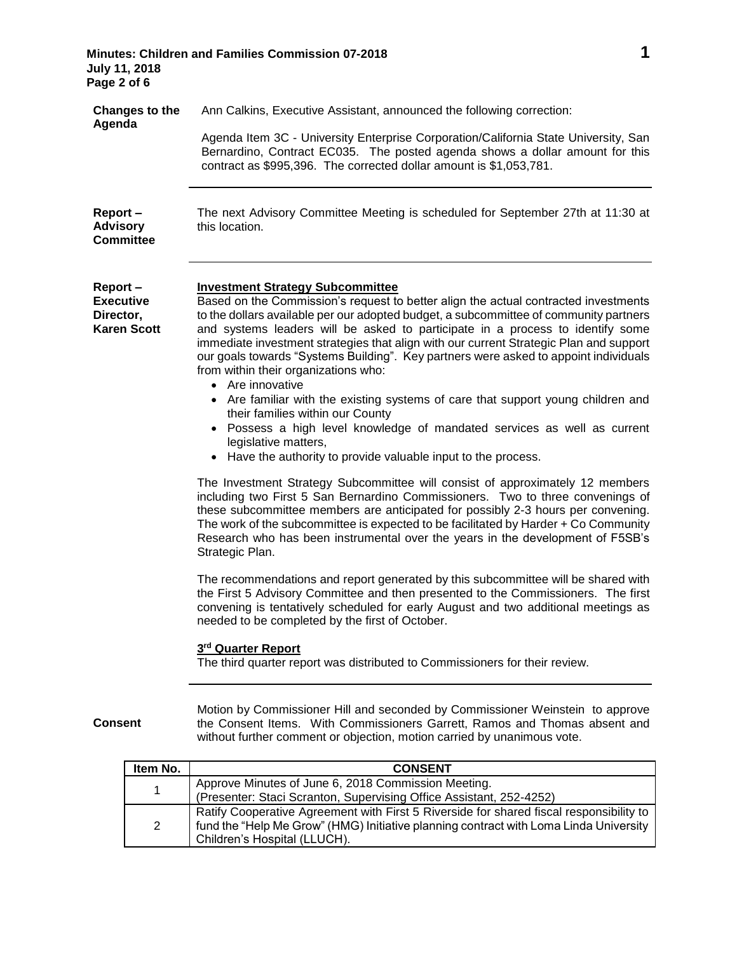| <b>Minutes: Children and Families Commission 07-2018</b> |  |
|----------------------------------------------------------|--|
| <b>July 11, 2018</b>                                     |  |
| Page 2 of 6                                              |  |

| <b>Changes to the</b><br>Agenda                                | Ann Calkins, Executive Assistant, announced the following correction:<br>Agenda Item 3C - University Enterprise Corporation/California State University, San<br>Bernardino, Contract EC035. The posted agenda shows a dollar amount for this<br>contract as \$995,396. The corrected dollar amount is \$1,053,781.                                                                                                                                                                                                                                                                                                                                                                                                                                                                                                                                                                  |
|----------------------------------------------------------------|-------------------------------------------------------------------------------------------------------------------------------------------------------------------------------------------------------------------------------------------------------------------------------------------------------------------------------------------------------------------------------------------------------------------------------------------------------------------------------------------------------------------------------------------------------------------------------------------------------------------------------------------------------------------------------------------------------------------------------------------------------------------------------------------------------------------------------------------------------------------------------------|
| Report-<br><b>Advisory</b><br><b>Committee</b>                 | The next Advisory Committee Meeting is scheduled for September 27th at 11:30 at<br>this location.                                                                                                                                                                                                                                                                                                                                                                                                                                                                                                                                                                                                                                                                                                                                                                                   |
| Report-<br><b>Executive</b><br>Director,<br><b>Karen Scott</b> | <b>Investment Strategy Subcommittee</b><br>Based on the Commission's request to better align the actual contracted investments<br>to the dollars available per our adopted budget, a subcommittee of community partners<br>and systems leaders will be asked to participate in a process to identify some<br>immediate investment strategies that align with our current Strategic Plan and support<br>our goals towards "Systems Building". Key partners were asked to appoint individuals<br>from within their organizations who:<br>• Are innovative<br>Are familiar with the existing systems of care that support young children and<br>$\bullet$<br>their families within our County<br>Possess a high level knowledge of mandated services as well as current<br>$\bullet$<br>legislative matters,<br>• Have the authority to provide valuable input to the process.         |
|                                                                | The Investment Strategy Subcommittee will consist of approximately 12 members<br>including two First 5 San Bernardino Commissioners. Two to three convenings of<br>these subcommittee members are anticipated for possibly 2-3 hours per convening.<br>The work of the subcommittee is expected to be facilitated by Harder + Co Community<br>Research who has been instrumental over the years in the development of F5SB's<br>Strategic Plan.<br>The recommendations and report generated by this subcommittee will be shared with<br>the First 5 Advisory Committee and then presented to the Commissioners. The first<br>convening is tentatively scheduled for early August and two additional meetings as<br>needed to be completed by the first of October.<br>3 <sup>rd</sup> Quarter Report<br>The third quarter report was distributed to Commissioners for their review. |
| <b>Consent</b>                                                 | Motion by Commissioner Hill and seconded by Commissioner Weinstein to approve<br>the Consent Items. With Commissioners Garrett, Ramos and Thomas absent and<br>without further comment or objection, motion carried by unanimous vote.                                                                                                                                                                                                                                                                                                                                                                                                                                                                                                                                                                                                                                              |

| Item No. | <b>CONSENT</b>                                                                          |
|----------|-----------------------------------------------------------------------------------------|
| 1        | Approve Minutes of June 6, 2018 Commission Meeting.                                     |
|          | (Presenter: Staci Scranton, Supervising Office Assistant, 252-4252)                     |
| 2        | Ratify Cooperative Agreement with First 5 Riverside for shared fiscal responsibility to |
|          | fund the "Help Me Grow" (HMG) Initiative planning contract with Loma Linda University   |
|          | Children's Hospital (LLUCH).                                                            |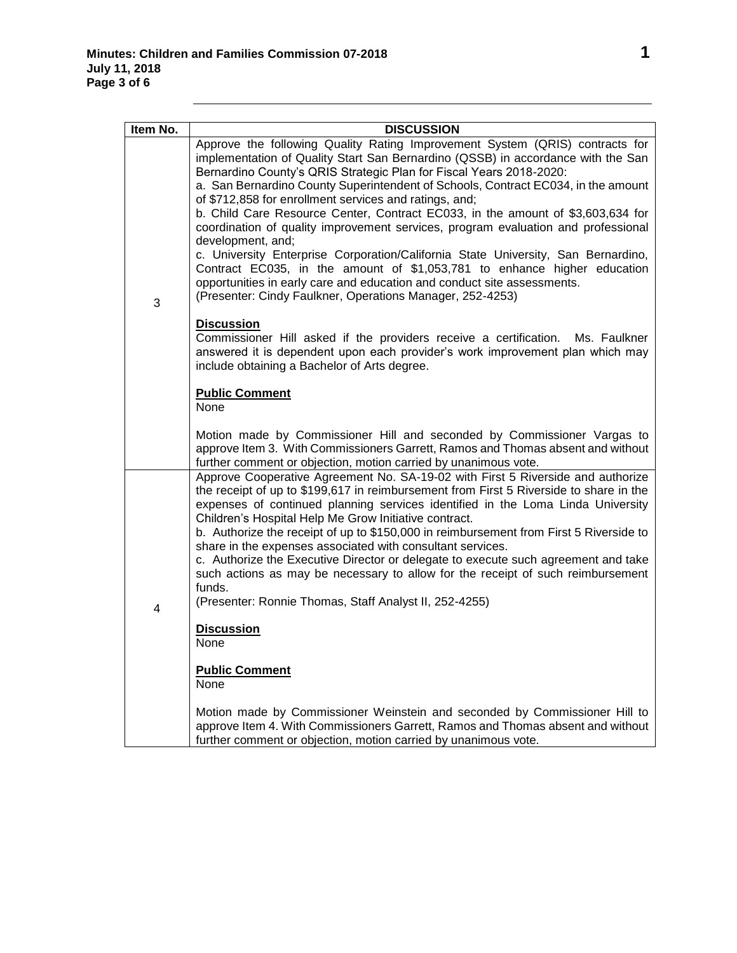| Item No. | <b>DISCUSSION</b>                                                                                                                                                                                                                                                                                                                                                                                                                                                                                                                                                                                                                                                                                                                                                                                                                                                                            |
|----------|----------------------------------------------------------------------------------------------------------------------------------------------------------------------------------------------------------------------------------------------------------------------------------------------------------------------------------------------------------------------------------------------------------------------------------------------------------------------------------------------------------------------------------------------------------------------------------------------------------------------------------------------------------------------------------------------------------------------------------------------------------------------------------------------------------------------------------------------------------------------------------------------|
| 3        | Approve the following Quality Rating Improvement System (QRIS) contracts for<br>implementation of Quality Start San Bernardino (QSSB) in accordance with the San<br>Bernardino County's QRIS Strategic Plan for Fiscal Years 2018-2020:<br>a. San Bernardino County Superintendent of Schools, Contract EC034, in the amount<br>of \$712,858 for enrollment services and ratings, and;<br>b. Child Care Resource Center, Contract EC033, in the amount of \$3,603,634 for<br>coordination of quality improvement services, program evaluation and professional<br>development, and;<br>c. University Enterprise Corporation/California State University, San Bernardino,<br>Contract EC035, in the amount of \$1,053,781 to enhance higher education<br>opportunities in early care and education and conduct site assessments.<br>(Presenter: Cindy Faulkner, Operations Manager, 252-4253) |
|          | <b>Discussion</b><br>Commissioner Hill asked if the providers receive a certification. Ms. Faulkner<br>answered it is dependent upon each provider's work improvement plan which may<br>include obtaining a Bachelor of Arts degree.                                                                                                                                                                                                                                                                                                                                                                                                                                                                                                                                                                                                                                                         |
|          | <b>Public Comment</b><br>None                                                                                                                                                                                                                                                                                                                                                                                                                                                                                                                                                                                                                                                                                                                                                                                                                                                                |
|          | Motion made by Commissioner Hill and seconded by Commissioner Vargas to<br>approve Item 3. With Commissioners Garrett, Ramos and Thomas absent and without<br>further comment or objection, motion carried by unanimous vote.                                                                                                                                                                                                                                                                                                                                                                                                                                                                                                                                                                                                                                                                |
| 4        | Approve Cooperative Agreement No. SA-19-02 with First 5 Riverside and authorize<br>the receipt of up to \$199,617 in reimbursement from First 5 Riverside to share in the<br>expenses of continued planning services identified in the Loma Linda University<br>Children's Hospital Help Me Grow Initiative contract.<br>b. Authorize the receipt of up to \$150,000 in reimbursement from First 5 Riverside to<br>share in the expenses associated with consultant services.<br>c. Authorize the Executive Director or delegate to execute such agreement and take<br>such actions as may be necessary to allow for the receipt of such reimbursement<br>funds.<br>(Presenter: Ronnie Thomas, Staff Analyst II, 252-4255)                                                                                                                                                                   |
|          | <b>Discussion</b><br>None                                                                                                                                                                                                                                                                                                                                                                                                                                                                                                                                                                                                                                                                                                                                                                                                                                                                    |
|          | <b>Public Comment</b><br>None                                                                                                                                                                                                                                                                                                                                                                                                                                                                                                                                                                                                                                                                                                                                                                                                                                                                |
|          | Motion made by Commissioner Weinstein and seconded by Commissioner Hill to<br>approve Item 4. With Commissioners Garrett, Ramos and Thomas absent and without<br>further comment or objection, motion carried by unanimous vote.                                                                                                                                                                                                                                                                                                                                                                                                                                                                                                                                                                                                                                                             |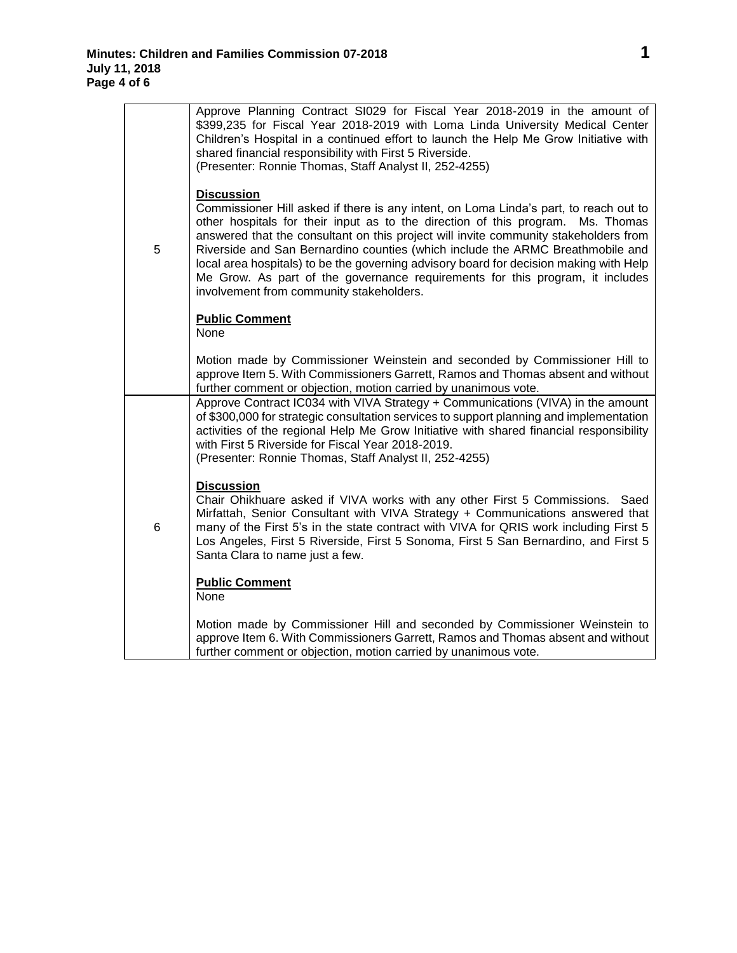|   | Approve Planning Contract SI029 for Fiscal Year 2018-2019 in the amount of<br>\$399,235 for Fiscal Year 2018-2019 with Loma Linda University Medical Center<br>Children's Hospital in a continued effort to launch the Help Me Grow Initiative with<br>shared financial responsibility with First 5 Riverside.<br>(Presenter: Ronnie Thomas, Staff Analyst II, 252-4255)                                                                                                                                                                                                                       |
|---|------------------------------------------------------------------------------------------------------------------------------------------------------------------------------------------------------------------------------------------------------------------------------------------------------------------------------------------------------------------------------------------------------------------------------------------------------------------------------------------------------------------------------------------------------------------------------------------------|
| 5 | <b>Discussion</b><br>Commissioner Hill asked if there is any intent, on Loma Linda's part, to reach out to<br>other hospitals for their input as to the direction of this program. Ms. Thomas<br>answered that the consultant on this project will invite community stakeholders from<br>Riverside and San Bernardino counties (which include the ARMC Breathmobile and<br>local area hospitals) to be the governing advisory board for decision making with Help<br>Me Grow. As part of the governance requirements for this program, it includes<br>involvement from community stakeholders. |
|   | <b>Public Comment</b><br>None                                                                                                                                                                                                                                                                                                                                                                                                                                                                                                                                                                  |
|   | Motion made by Commissioner Weinstein and seconded by Commissioner Hill to<br>approve Item 5. With Commissioners Garrett, Ramos and Thomas absent and without<br>further comment or objection, motion carried by unanimous vote.                                                                                                                                                                                                                                                                                                                                                               |
|   | Approve Contract IC034 with VIVA Strategy + Communications (VIVA) in the amount<br>of \$300,000 for strategic consultation services to support planning and implementation<br>activities of the regional Help Me Grow Initiative with shared financial responsibility<br>with First 5 Riverside for Fiscal Year 2018-2019.<br>(Presenter: Ronnie Thomas, Staff Analyst II, 252-4255)                                                                                                                                                                                                           |
| 6 | <b>Discussion</b><br>Chair Ohikhuare asked if VIVA works with any other First 5 Commissions. Saed<br>Mirfattah, Senior Consultant with VIVA Strategy + Communications answered that<br>many of the First 5's in the state contract with VIVA for QRIS work including First 5<br>Los Angeles, First 5 Riverside, First 5 Sonoma, First 5 San Bernardino, and First 5<br>Santa Clara to name just a few.                                                                                                                                                                                         |
|   | <b>Public Comment</b><br>None                                                                                                                                                                                                                                                                                                                                                                                                                                                                                                                                                                  |
|   | Motion made by Commissioner Hill and seconded by Commissioner Weinstein to<br>approve Item 6. With Commissioners Garrett, Ramos and Thomas absent and without<br>further comment or objection, motion carried by unanimous vote.                                                                                                                                                                                                                                                                                                                                                               |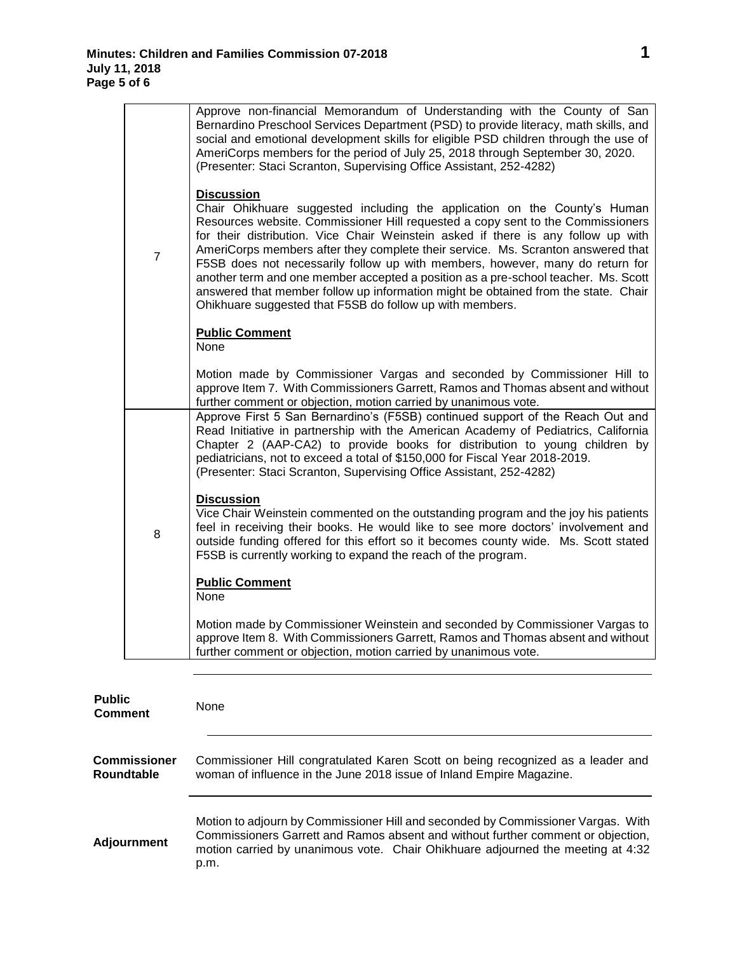L.

| $\overline{7}$ | Approve non-financial Memorandum of Understanding with the County of San<br>Bernardino Preschool Services Department (PSD) to provide literacy, math skills, and<br>social and emotional development skills for eligible PSD children through the use of<br>AmeriCorps members for the period of July 25, 2018 through September 30, 2020.<br>(Presenter: Staci Scranton, Supervising Office Assistant, 252-4282)                                                                                                                                                                                                                                                                   |
|----------------|-------------------------------------------------------------------------------------------------------------------------------------------------------------------------------------------------------------------------------------------------------------------------------------------------------------------------------------------------------------------------------------------------------------------------------------------------------------------------------------------------------------------------------------------------------------------------------------------------------------------------------------------------------------------------------------|
|                | <b>Discussion</b><br>Chair Ohikhuare suggested including the application on the County's Human<br>Resources website. Commissioner Hill requested a copy sent to the Commissioners<br>for their distribution. Vice Chair Weinstein asked if there is any follow up with<br>AmeriCorps members after they complete their service. Ms. Scranton answered that<br>F5SB does not necessarily follow up with members, however, many do return for<br>another term and one member accepted a position as a pre-school teacher. Ms. Scott<br>answered that member follow up information might be obtained from the state. Chair<br>Ohikhuare suggested that F5SB do follow up with members. |
|                | <b>Public Comment</b><br>None                                                                                                                                                                                                                                                                                                                                                                                                                                                                                                                                                                                                                                                       |
|                | Motion made by Commissioner Vargas and seconded by Commissioner Hill to<br>approve Item 7. With Commissioners Garrett, Ramos and Thomas absent and without<br>further comment or objection, motion carried by unanimous vote.                                                                                                                                                                                                                                                                                                                                                                                                                                                       |
| 8              | Approve First 5 San Bernardino's (F5SB) continued support of the Reach Out and<br>Read Initiative in partnership with the American Academy of Pediatrics, California<br>Chapter 2 (AAP-CA2) to provide books for distribution to young children by<br>pediatricians, not to exceed a total of \$150,000 for Fiscal Year 2018-2019.<br>(Presenter: Staci Scranton, Supervising Office Assistant, 252-4282)                                                                                                                                                                                                                                                                           |
|                | <b>Discussion</b><br>Vice Chair Weinstein commented on the outstanding program and the joy his patients<br>feel in receiving their books. He would like to see more doctors' involvement and<br>outside funding offered for this effort so it becomes county wide. Ms. Scott stated<br>F5SB is currently working to expand the reach of the program.                                                                                                                                                                                                                                                                                                                                |
|                | <b>Public Comment</b><br>None                                                                                                                                                                                                                                                                                                                                                                                                                                                                                                                                                                                                                                                       |
|                | Motion made by Commissioner Weinstein and seconded by Commissioner Vargas to<br>approve Item 8. With Commissioners Garrett, Ramos and Thomas absent and without<br>further comment or objection, motion carried by unanimous vote.                                                                                                                                                                                                                                                                                                                                                                                                                                                  |

| <b>Public</b><br><b>Comment</b>   | None                                                                                                                                                                                                                                                            |
|-----------------------------------|-----------------------------------------------------------------------------------------------------------------------------------------------------------------------------------------------------------------------------------------------------------------|
| <b>Commissioner</b><br>Roundtable | Commissioner Hill congratulated Karen Scott on being recognized as a leader and<br>woman of influence in the June 2018 issue of Inland Empire Magazine.                                                                                                         |
| <b>Adjournment</b>                | Motion to adjourn by Commissioner Hill and seconded by Commissioner Vargas. With<br>Commissioners Garrett and Ramos absent and without further comment or objection,<br>motion carried by unanimous vote. Chair Ohikhuare adjourned the meeting at 4:32<br>p.m. |